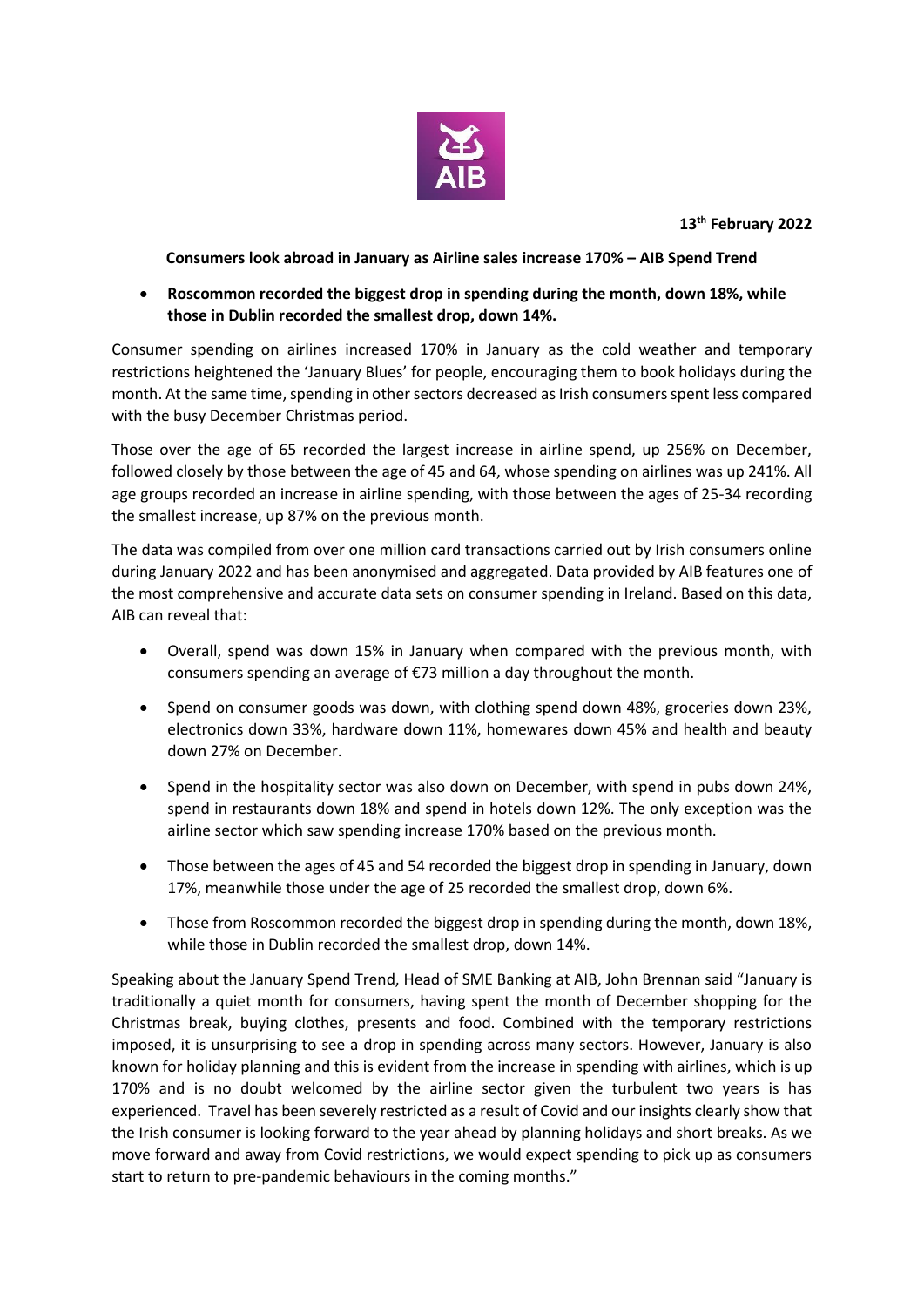

**13th February 2022**

**Consumers look abroad in January as Airline sales increase 170% – AIB Spend Trend**

 **Roscommon recorded the biggest drop in spending during the month, down 18%, while those in Dublin recorded the smallest drop, down 14%.**

Consumer spending on airlines increased 170% in January as the cold weather and temporary restrictions heightened the 'January Blues' for people, encouraging them to book holidays during the month. At the same time, spending in other sectors decreased as Irish consumers spent less compared with the busy December Christmas period.

Those over the age of 65 recorded the largest increase in airline spend, up 256% on December, followed closely by those between the age of 45 and 64, whose spending on airlines was up 241%. All age groups recorded an increase in airline spending, with those between the ages of 25-34 recording the smallest increase, up 87% on the previous month.

The data was compiled from over one million card transactions carried out by Irish consumers online during January 2022 and has been anonymised and aggregated. Data provided by AIB features one of the most comprehensive and accurate data sets on consumer spending in Ireland. Based on this data, AIB can reveal that:

- Overall, spend was down 15% in January when compared with the previous month, with consumers spending an average of €73 million a day throughout the month.
- Spend on consumer goods was down, with clothing spend down 48%, groceries down 23%, electronics down 33%, hardware down 11%, homewares down 45% and health and beauty down 27% on December.
- Spend in the hospitality sector was also down on December, with spend in pubs down 24%, spend in restaurants down 18% and spend in hotels down 12%. The only exception was the airline sector which saw spending increase 170% based on the previous month.
- Those between the ages of 45 and 54 recorded the biggest drop in spending in January, down 17%, meanwhile those under the age of 25 recorded the smallest drop, down 6%.
- Those from Roscommon recorded the biggest drop in spending during the month, down 18%, while those in Dublin recorded the smallest drop, down 14%.

Speaking about the January Spend Trend, Head of SME Banking at AIB, John Brennan said "January is traditionally a quiet month for consumers, having spent the month of December shopping for the Christmas break, buying clothes, presents and food. Combined with the temporary restrictions imposed, it is unsurprising to see a drop in spending across many sectors. However, January is also known for holiday planning and this is evident from the increase in spending with airlines, which is up 170% and is no doubt welcomed by the airline sector given the turbulent two years is has experienced. Travel has been severely restricted as a result of Covid and our insights clearly show that the Irish consumer is looking forward to the year ahead by planning holidays and short breaks. As we move forward and away from Covid restrictions, we would expect spending to pick up as consumers start to return to pre-pandemic behaviours in the coming months."